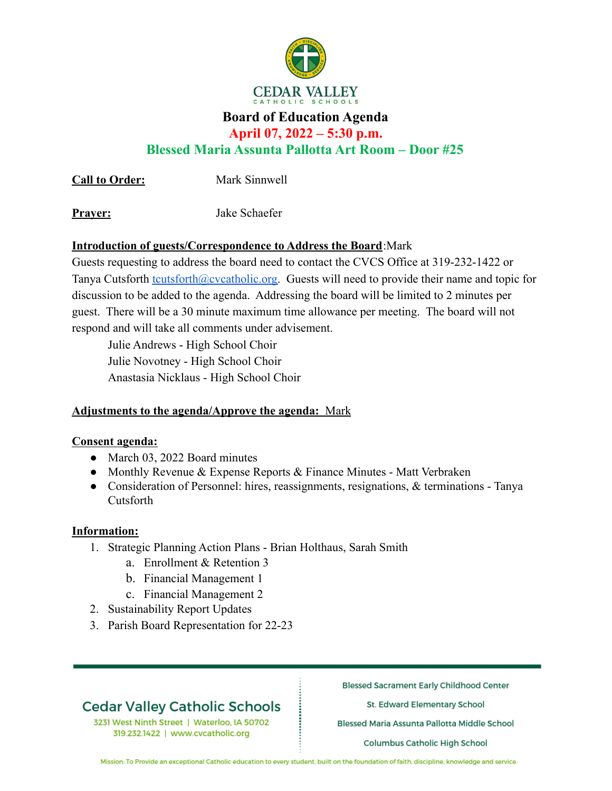

# **Board of Education Agenda**

**April 07, 2022 – 5:30 p.m.**

**Blessed Maria Assunta Pallotta Art Room – Door #25**

**Call to Order:** Mark Sinnwell

**Prayer:** Jake Schaefer

## **Introduction of guests/Correspondence to Address the Board**:Mark

Guests requesting to address the board need to contact the CVCS Office at 319-232-1422 or Tanya Cutsforth [tcutsforth@cvcatholic.org.](mailto:tcutsforth@cvcatholic.org) Guests will need to provide their name and topic for discussion to be added to the agenda. Addressing the board will be limited to 2 minutes per guest. There will be a 30 minute maximum time allowance per meeting. The board will not respond and will take all comments under advisement.

Julie Andrews - High School Choir Julie Novotney - High School Choir Anastasia Nicklaus - High School Choir

## **Adjustments to the agenda/Approve the agenda:** Mark

### **Consent agenda:**

- March 03, 2022 Board minutes
- Monthly Revenue & Expense Reports & Finance Minutes Matt Verbraken
- Consideration of Personnel: hires, reassignments, resignations, & terminations Tanya Cutsforth

### **Information:**

- 1. Strategic Planning Action Plans Brian Holthaus, Sarah Smith
	- a. Enrollment & Retention 3
	- b. Financial Management 1
	- c. Financial Management 2
- 2. Sustainability Report Updates
- 3. Parish Board Representation for 22-23

# **Cedar Valley Catholic Schools**

3231 West Ninth Street | Waterloo, IA 50702 319.232.1422 | www.cvcatholic.org

**Blessed Sacrament Early Childhood Center** 

St. Edward Elementary School

Blessed Maria Assunta Pallotta Middle School

**Columbus Catholic High School** 

Mission: To Provide an exceptional Catholic education to every student, built on the foundation of faith, discipline, knowledge and service.